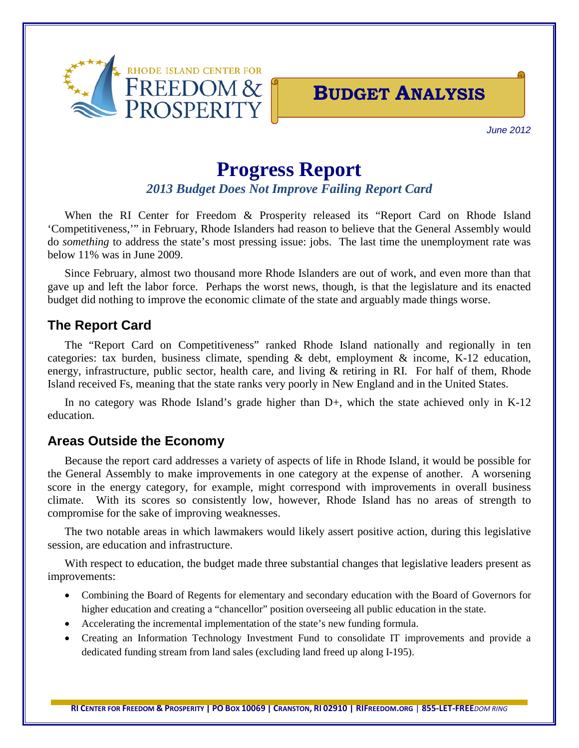

## **BUDGET ANALYSIS**

*June 2012*

# **Progress Report**

### *2013 Budget Does Not Improve Failing Report Card*

When the RI Center for Freedom & Prosperity released its "Report Card on Rhode Island 'Competitiveness,'" in February, Rhode Islanders had reason to believe that the General Assembly would do *something* to address the state's most pressing issue: jobs. The last time the unemployment rate was below 11% was in June 2009.

Since February, almost two thousand more Rhode Islanders are out of work, and even more than that gave up and left the labor force. Perhaps the worst news, though, is that the legislature and its enacted budget did nothing to improve the economic climate of the state and arguably made things worse.

### **The Report Card**

The "Report Card on Competitiveness" ranked Rhode Island nationally and regionally in ten categories: tax burden, business climate, spending & debt, employment & income, K-12 education, energy, infrastructure, public sector, health care, and living & retiring in RI. For half of them, Rhode Island received Fs, meaning that the state ranks very poorly in New England and in the United States.

In no category was Rhode Island's grade higher than D+, which the state achieved only in K-12 education.

## **Areas Outside the Economy**

Because the report card addresses a variety of aspects of life in Rhode Island, it would be possible for the General Assembly to make improvements in one category at the expense of another. A worsening score in the energy category, for example, might correspond with improvements in overall business climate. With its scores so consistently low, however, Rhode Island has no areas of strength to compromise for the sake of improving weaknesses.

The two notable areas in which lawmakers would likely assert positive action, during this legislative session, are education and infrastructure.

With respect to education, the budget made three substantial changes that legislative leaders present as improvements:

- Combining the Board of Regents for elementary and secondary education with the Board of Governors for higher education and creating a "chancellor" position overseeing all public education in the state.
- Accelerating the incremental implementation of the state's new funding formula.
- Creating an Information Technology Investment Fund to consolidate IT improvements and provide a dedicated funding stream from land sales (excluding land freed up along I-195).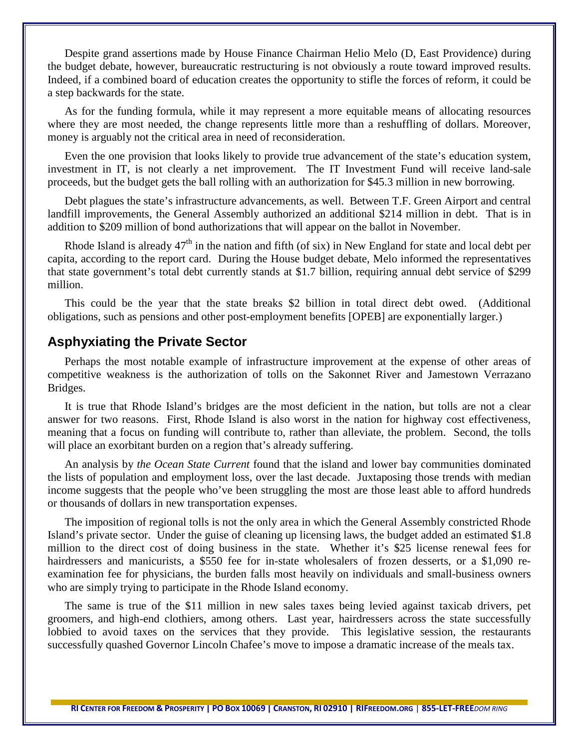Despite grand assertions made by House Finance Chairman Helio Melo (D, East Providence) during the budget debate, however, bureaucratic restructuring is not obviously a route toward improved results. Indeed, if a combined board of education creates the opportunity to stifle the forces of reform, it could be a step backwards for the state.

As for the funding formula, while it may represent a more equitable means of allocating resources where they are most needed, the change represents little more than a reshuffling of dollars. Moreover, money is arguably not the critical area in need of reconsideration.

Even the one provision that looks likely to provide true advancement of the state's education system, investment in IT, is not clearly a net improvement. The IT Investment Fund will receive land-sale proceeds, but the budget gets the ball rolling with an authorization for \$45.3 million in new borrowing.

Debt plagues the state's infrastructure advancements, as well. Between T.F. Green Airport and central landfill improvements, the General Assembly authorized an additional \$214 million in debt. That is in addition to \$209 million of bond authorizations that will appear on the ballot in November.

Rhode Island is already  $47<sup>th</sup>$  in the nation and fifth (of six) in New England for state and local debt per capita, according to the report card. During the House budget debate, Melo informed the representatives that state government's total debt currently stands at \$1.7 billion, requiring annual debt service of \$299 million.

This could be the year that the state breaks \$2 billion in total direct debt owed. (Additional obligations, such as pensions and other post-employment benefits [OPEB] are exponentially larger.)

#### **Asphyxiating the Private Sector**

Perhaps the most notable example of infrastructure improvement at the expense of other areas of competitive weakness is the authorization of tolls on the Sakonnet River and Jamestown Verrazano Bridges.

It is true that Rhode Island's bridges are the most deficient in the nation, but tolls are not a clear answer for two reasons. First, Rhode Island is also worst in the nation for highway cost effectiveness, meaning that a focus on funding will contribute to, rather than alleviate, the problem. Second, the tolls will place an exorbitant burden on a region that's already suffering.

An analysis by *the Ocean State Current* found that the island and lower bay communities dominated the lists of population and employment loss, over the last decade. Juxtaposing those trends with median income suggests that the people who've been struggling the most are those least able to afford hundreds or thousands of dollars in new transportation expenses.

The imposition of regional tolls is not the only area in which the General Assembly constricted Rhode Island's private sector. Under the guise of cleaning up licensing laws, the budget added an estimated \$1.8 million to the direct cost of doing business in the state. Whether it's \$25 license renewal fees for hairdressers and manicurists, a \$550 fee for in-state wholesalers of frozen desserts, or a \$1,090 reexamination fee for physicians, the burden falls most heavily on individuals and small-business owners who are simply trying to participate in the Rhode Island economy.

The same is true of the \$11 million in new sales taxes being levied against taxicab drivers, pet groomers, and high-end clothiers, among others. Last year, hairdressers across the state successfully lobbied to avoid taxes on the services that they provide. This legislative session, the restaurants successfully quashed Governor Lincoln Chafee's move to impose a dramatic increase of the meals tax.